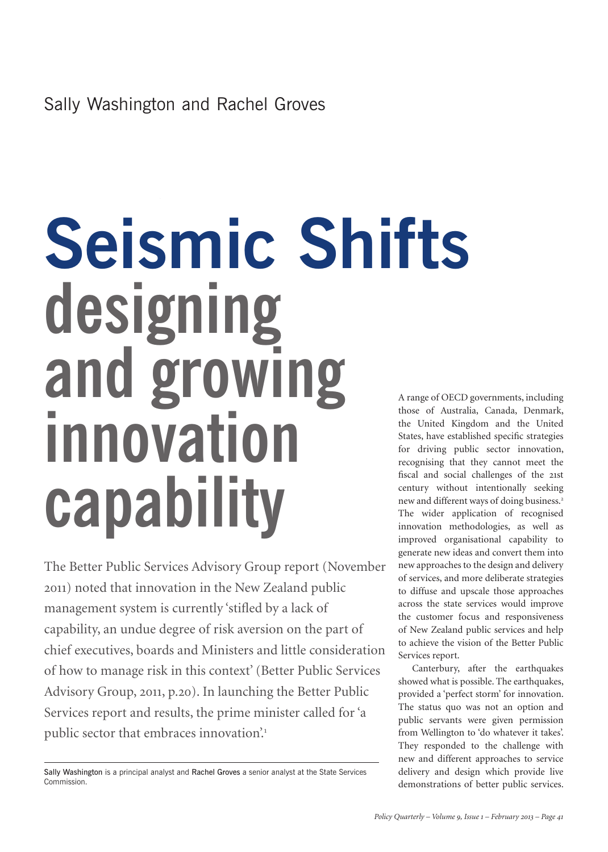# **Seismic Shifts designing and growing innovation capability** A range of OECD governments, including

The Better Public Services Advisory Group report (November 2011) noted that innovation in the New Zealand public management system is currently 'stifled by a lack of capability, an undue degree of risk aversion on the part of chief executives, boards and Ministers and little consideration of how to manage risk in this context' (Better Public Services Advisory Group, 2011, p.20). In launching the Better Public Services report and results, the prime minister called for 'a public sector that embraces innovation.<sup>1</sup>

those of Australia, Canada, Denmark, the United Kingdom and the United States, have established specific strategies for driving public sector innovation, recognising that they cannot meet the fiscal and social challenges of the 21st century without intentionally seeking new and different ways of doing business.<sup>2</sup> The wider application of recognised innovation methodologies, as well as improved organisational capability to generate new ideas and convert them into new approaches to the design and delivery of services, and more deliberate strategies to diffuse and upscale those approaches across the state services would improve the customer focus and responsiveness of New Zealand public services and help to achieve the vision of the Better Public Services report.

Canterbury, after the earthquakes showed what is possible. The earthquakes, provided a 'perfect storm' for innovation. The status quo was not an option and public servants were given permission from Wellington to 'do whatever it takes'. They responded to the challenge with new and different approaches to service delivery and design which provide live demonstrations of better public services.

Sally Washington is a principal analyst and Rachel Groves a senior analyst at the State Services Commission.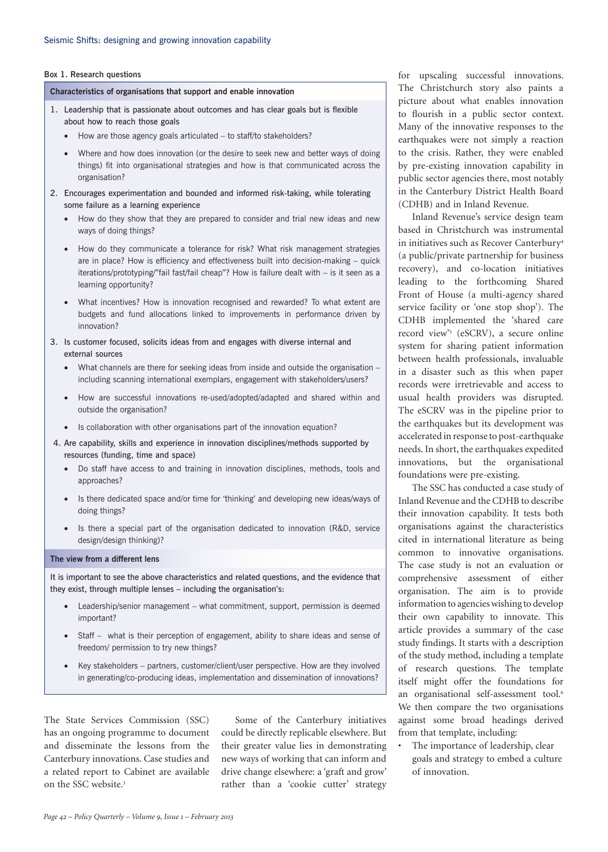#### **Box 1. Research questions**

**Characteristics of organisations that support and enable innovation**

- 1. Leadership that is passionate about outcomes and has clear goals but is flexible about how to reach those goals
	- How are those agency goals articulated to staff/to stakeholders?
	- Where and how does innovation (or the desire to seek new and better ways of doing things) fit into organisational strategies and how is that communicated across the organisation?
- 2. Encourages experimentation and bounded and informed risk-taking, while tolerating some failure as a learning experience
	- How do they show that they are prepared to consider and trial new ideas and new ways of doing things?
	- How do they communicate a tolerance for risk? What risk management strategies are in place? How is efficiency and effectiveness built into decision-making – quick iterations/prototyping/"fail fast/fail cheap"? How is failure dealt with – is it seen as a learning opportunity?
	- What incentives? How is innovation recognised and rewarded? To what extent are budgets and fund allocations linked to improvements in performance driven by innovation?
- 3. Is customer focused, solicits ideas from and engages with diverse internal and external sources
	- What channels are there for seeking ideas from inside and outside the organisation including scanning international exemplars, engagement with stakeholders/users?
	- How are successful innovations re-used/adopted/adapted and shared within and outside the organisation?
	- Is collaboration with other organisations part of the innovation equation?
- 4. Are capability, skills and experience in innovation disciplines/methods supported by resources (funding, time and space)
	- Do staff have access to and training in innovation disciplines, methods, tools and approaches?
	- Is there dedicated space and/or time for 'thinking' and developing new ideas/ways of doing things?
	- Is there a special part of the organisation dedicated to innovation (R&D, service design/design thinking)?

#### **The view from a different lens**

It is important to see the above characteristics and related questions, and the evidence that they exist, through multiple lenses – including the organisation's:

- Leadership/senior management what commitment, support, permission is deemed important?
- Staff what is their perception of engagement, ability to share ideas and sense of freedom/ permission to try new things?
- Key stakeholders partners, customer/client/user perspective. How are they involved in generating/co-producing ideas, implementation and dissemination of innovations?

The State Services Commission (SSC) has an ongoing programme to document and disseminate the lessons from the Canterbury innovations. Case studies and a related report to Cabinet are available on the SSC website.<sup>3</sup>

Some of the Canterbury initiatives could be directly replicable elsewhere. But their greater value lies in demonstrating new ways of working that can inform and drive change elsewhere: a 'graft and grow' rather than a 'cookie cutter' strategy

for upscaling successful innovations. The Christchurch story also paints a picture about what enables innovation to flourish in a public sector context. Many of the innovative responses to the earthquakes were not simply a reaction to the crisis. Rather, they were enabled by pre-existing innovation capability in public sector agencies there, most notably in the Canterbury District Health Board (CDHB) and in Inland Revenue.

Inland Revenue's service design team based in Christchurch was instrumental in initiatives such as Recover Canterbury4 (a public/private partnership for business recovery), and co-location initiatives leading to the forthcoming Shared Front of House (a multi-agency shared service facility or 'one stop shop'). The CDHB implemented the 'shared care record view'5 (eSCRV), a secure online system for sharing patient information between health professionals, invaluable in a disaster such as this when paper records were irretrievable and access to usual health providers was disrupted. The eSCRV was in the pipeline prior to the earthquakes but its development was accelerated in response to post-earthquake needs. In short, the earthquakes expedited innovations, but the organisational foundations were pre-existing.

The SSC has conducted a case study of Inland Revenue and the CDHB to describe their innovation capability. It tests both organisations against the characteristics cited in international literature as being common to innovative organisations. The case study is not an evaluation or comprehensive assessment of either organisation. The aim is to provide information to agencies wishing to develop their own capability to innovate. This article provides a summary of the case study findings. It starts with a description of the study method, including a template of research questions. The template itself might offer the foundations for an organisational self-assessment tool.<sup>6</sup> We then compare the two organisations against some broad headings derived from that template, including:

The importance of leadership, clear goals and strategy to embed a culture of innovation.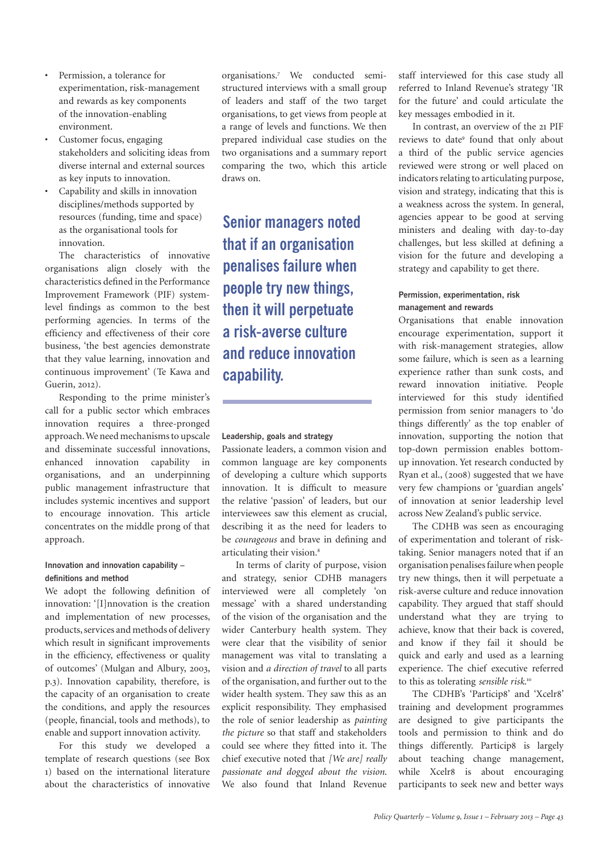- Permission, a tolerance for experimentation, risk-management and rewards as key components of the innovation-enabling environment.
- Customer focus, engaging stakeholders and soliciting ideas from diverse internal and external sources as key inputs to innovation.
- Capability and skills in innovation disciplines/methods supported by resources (funding, time and space) as the organisational tools for innovation.

The characteristics of innovative organisations align closely with the characteristics defined in the Performance Improvement Framework (PIF) systemlevel findings as common to the best performing agencies. In terms of the efficiency and effectiveness of their core business, 'the best agencies demonstrate that they value learning, innovation and continuous improvement' (Te Kawa and Guerin, 2012).

Responding to the prime minister's call for a public sector which embraces innovation requires a three-pronged approach. We need mechanisms to upscale and disseminate successful innovations, enhanced innovation capability in organisations, and an underpinning public management infrastructure that includes systemic incentives and support to encourage innovation. This article concentrates on the middle prong of that approach.

## **Innovation and innovation capability – definitions and method**

We adopt the following definition of innovation: '[I]nnovation is the creation and implementation of new processes, products, services and methods of delivery which result in significant improvements in the efficiency, effectiveness or quality of outcomes' (Mulgan and Albury, 2003, p.3). Innovation capability, therefore, is the capacity of an organisation to create the conditions, and apply the resources (people, financial, tools and methods), to enable and support innovation activity.

For this study we developed a template of research questions (see Box 1) based on the international literature about the characteristics of innovative

organisations.7 We conducted semistructured interviews with a small group of leaders and staff of the two target organisations, to get views from people at a range of levels and functions. We then prepared individual case studies on the two organisations and a summary report comparing the two, which this article draws on.

**Senior managers noted that if an organisation penalises failure when people try new things, then it will perpetuate a risk-averse culture and reduce innovation capability.**

## **Leadership, goals and strategy**

Passionate leaders, a common vision and common language are key components of developing a culture which supports innovation. It is difficult to measure the relative 'passion' of leaders, but our interviewees saw this element as crucial, describing it as the need for leaders to be *courageous* and brave in defining and articulating their vision.<sup>8</sup>

In terms of clarity of purpose, vision and strategy, senior CDHB managers interviewed were all completely 'on message' with a shared understanding of the vision of the organisation and the wider Canterbury health system. They were clear that the visibility of senior management was vital to translating a vision and *a direction of travel* to all parts of the organisation, and further out to the wider health system. They saw this as an explicit responsibility. They emphasised the role of senior leadership as *painting the picture* so that staff and stakeholders could see where they fitted into it. The chief executive noted that *[We are] really passionate and dogged about the vision*. We also found that Inland Revenue

staff interviewed for this case study all referred to Inland Revenue's strategy 'IR for the future' and could articulate the key messages embodied in it.

In contrast, an overview of the 21 PIF reviews to date<sup>9</sup> found that only about a third of the public service agencies reviewed were strong or well placed on indicators relating to articulating purpose, vision and strategy, indicating that this is a weakness across the system. In general, agencies appear to be good at serving ministers and dealing with day-to-day challenges, but less skilled at defining a vision for the future and developing a strategy and capability to get there.

# **Permission, experimentation, risk management and rewards**

Organisations that enable innovation encourage experimentation, support it with risk-management strategies, allow some failure, which is seen as a learning experience rather than sunk costs, and reward innovation initiative. People interviewed for this study identified permission from senior managers to 'do things differently' as the top enabler of innovation, supporting the notion that top-down permission enables bottomup innovation. Yet research conducted by Ryan et al., (2008) suggested that we have very few champions or 'guardian angels' of innovation at senior leadership level across New Zealand's public service.

The CDHB was seen as encouraging of experimentation and tolerant of risktaking. Senior managers noted that if an organisation penalises failure when people try new things, then it will perpetuate a risk-averse culture and reduce innovation capability. They argued that staff should understand what they are trying to achieve, know that their back is covered, and know if they fail it should be quick and early and used as a learning experience. The chief executive referred to this as tolerating *sensible risk*. 10

The CDHB's 'Particip8' and 'Xcelr8' training and development programmes are designed to give participants the tools and permission to think and do things differently. Particip8 is largely about teaching change management, while Xcelr8 is about encouraging participants to seek new and better ways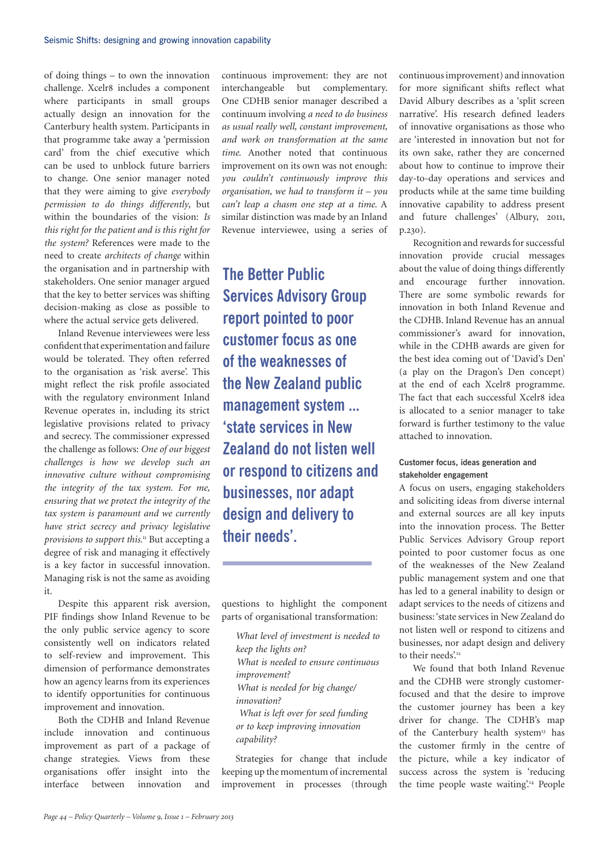of doing things – to own the innovation challenge. Xcelr8 includes a component where participants in small groups actually design an innovation for the Canterbury health system. Participants in that programme take away a 'permission card' from the chief executive which can be used to unblock future barriers to change. One senior manager noted that they were aiming to give *everybody permission to do things differently*, but within the boundaries of the vision: *Is this right for the patient and is this right for the system?* References were made to the need to create *architects of change* within the organisation and in partnership with stakeholders. One senior manager argued that the key to better services was shifting decision-making as close as possible to where the actual service gets delivered.

Inland Revenue interviewees were less confident that experimentation and failure would be tolerated. They often referred to the organisation as 'risk averse'. This might reflect the risk profile associated with the regulatory environment Inland Revenue operates in, including its strict legislative provisions related to privacy and secrecy. The commissioner expressed the challenge as follows: *One of our biggest challenges is how we develop such an innovative culture without compromising the integrity of the tax system. For me, ensuring that we protect the integrity of the tax system is paramount and we currently have strict secrecy and privacy legislative provisions to support this.*11 But accepting a degree of risk and managing it effectively is a key factor in successful innovation. Managing risk is not the same as avoiding it.

Despite this apparent risk aversion, PIF findings show Inland Revenue to be the only public service agency to score consistently well on indicators related to self-review and improvement. This dimension of performance demonstrates how an agency learns from its experiences to identify opportunities for continuous improvement and innovation.

Both the CDHB and Inland Revenue include innovation and continuous improvement as part of a package of change strategies. Views from these organisations offer insight into the interface between innovation and

continuous improvement: they are not interchangeable but complementary. One CDHB senior manager described a continuum involving *a need to do business as usual really well, constant improvement, and work on transformation at the same time*. Another noted that continuous improvement on its own was not enough: *you couldn't continuously improve this organisation, we had to transform it – you can't leap a chasm one step at a time*. A similar distinction was made by an Inland Revenue interviewee, using a series of

**The Better Public Services Advisory Group report pointed to poor customer focus as one of the weaknesses of the New Zealand public management system ... 'state services in New Zealand do not listen well or respond to citizens and businesses, nor adapt design and delivery to their needs'.**

questions to highlight the component parts of organisational transformation:

*What level of investment is needed to keep the lights on? What is needed to ensure continuous improvement? What is needed for big change/ innovation? What is left over for seed funding or to keep improving innovation capability?*

Strategies for change that include keeping up the momentum of incremental improvement in processes (through

continuous improvement) and innovation for more significant shifts reflect what David Albury describes as a 'split screen narrative'. His research defined leaders of innovative organisations as those who are 'interested in innovation but not for its own sake, rather they are concerned about how to continue to improve their day-to-day operations and services and products while at the same time building innovative capability to address present and future challenges' (Albury, 2011, p.230).

Recognition and rewards for successful innovation provide crucial messages about the value of doing things differently and encourage further innovation. There are some symbolic rewards for innovation in both Inland Revenue and the CDHB. Inland Revenue has an annual commissioner's award for innovation, while in the CDHB awards are given for the best idea coming out of 'David's Den' (a play on the Dragon's Den concept) at the end of each Xcelr8 programme. The fact that each successful Xcelr8 idea is allocated to a senior manager to take forward is further testimony to the value attached to innovation.

# **Customer focus, ideas generation and stakeholder engagement**

A focus on users, engaging stakeholders and soliciting ideas from diverse internal and external sources are all key inputs into the innovation process. The Better Public Services Advisory Group report pointed to poor customer focus as one of the weaknesses of the New Zealand public management system and one that has led to a general inability to design or adapt services to the needs of citizens and business: 'state services in New Zealand do not listen well or respond to citizens and businesses, nor adapt design and delivery to their needs'.<sup>12</sup>

We found that both Inland Revenue and the CDHB were strongly customerfocused and that the desire to improve the customer journey has been a key driver for change. The CDHB's map of the Canterbury health system<sup>13</sup> has the customer firmly in the centre of the picture, while a key indicator of success across the system is 'reducing the time people waste waiting'.<sup>14</sup> People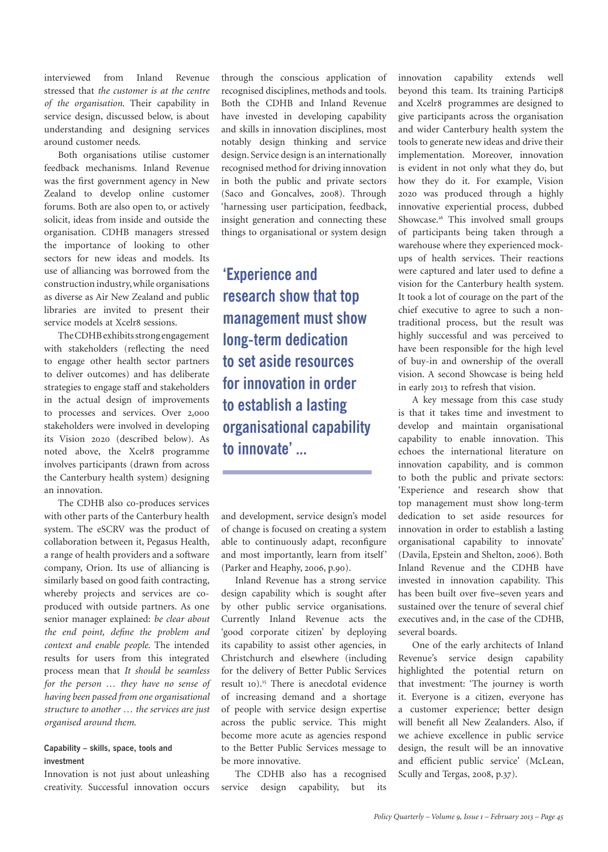interviewed from Inland Revenue stressed that *the customer is at the centre of the organisation*. Their capability in service design, discussed below, is about understanding and designing services around customer needs.

Both organisations utilise customer feedback mechanisms. Inland Revenue was the first government agency in New Zealand to develop online customer forums. Both are also open to, or actively solicit, ideas from inside and outside the organisation. CDHB managers stressed the importance of looking to other sectors for new ideas and models. Its use of alliancing was borrowed from the construction industry, while organisations as diverse as Air New Zealand and public libraries are invited to present their service models at Xcelr8 sessions.

The CDHB exhibits strong engagement with stakeholders (reflecting the need to engage other health sector partners to deliver outcomes) and has deliberate strategies to engage staff and stakeholders in the actual design of improvements to processes and services. Over 2,000 stakeholders were involved in developing its Vision 2020 (described below). As noted above, the Xcelr8 programme involves participants (drawn from across the Canterbury health system) designing an innovation.

The CDHB also co-produces services with other parts of the Canterbury health system. The eSCRV was the product of collaboration between it, Pegasus Health, a range of health providers and a software company, Orion. Its use of alliancing is similarly based on good faith contracting, whereby projects and services are coproduced with outside partners. As one senior manager explained: *be clear about the end point, define the problem and context and enable people*. The intended results for users from this integrated process mean that *It should be seamless for the person … they have no sense of having been passed from one organisational structure to another … the services are just organised around them*.

## **Capability – skills, space, tools and investment**

Innovation is not just about unleashing creativity. Successful innovation occurs through the conscious application of recognised disciplines, methods and tools. Both the CDHB and Inland Revenue have invested in developing capability and skills in innovation disciplines, most notably design thinking and service design. Service design is an internationally recognised method for driving innovation in both the public and private sectors (Saco and Goncalves, 2008). Through 'harnessing user participation, feedback, insight generation and connecting these things to organisational or system design

**'Experience and research show that top management must show long-term dedication to set aside resources for innovation in order to establish a lasting organisational capability to innovate' ...**

and development, service design's model of change is focused on creating a system able to continuously adapt, reconfigure and most importantly, learn from itself' (Parker and Heaphy, 2006, p.90).

Inland Revenue has a strong service design capability which is sought after by other public service organisations. Currently Inland Revenue acts the 'good corporate citizen' by deploying its capability to assist other agencies, in Christchurch and elsewhere (including for the delivery of Better Public Services result 10).15 There is anecdotal evidence of increasing demand and a shortage of people with service design expertise across the public service. This might become more acute as agencies respond to the Better Public Services message to be more innovative.

The CDHB also has a recognised service design capability, but its innovation capability extends well beyond this team. Its training Particip8 and Xcelr8 programmes are designed to give participants across the organisation and wider Canterbury health system the tools to generate new ideas and drive their implementation. Moreover, innovation is evident in not only what they do, but how they do it. For example, Vision 2020 was produced through a highly innovative experiential process, dubbed Showcase.<sup>16</sup> This involved small groups of participants being taken through a warehouse where they experienced mockups of health services. Their reactions were captured and later used to define a vision for the Canterbury health system. It took a lot of courage on the part of the chief executive to agree to such a nontraditional process, but the result was highly successful and was perceived to have been responsible for the high level of buy-in and ownership of the overall vision. A second Showcase is being held in early 2013 to refresh that vision.

A key message from this case study is that it takes time and investment to develop and maintain organisational capability to enable innovation. This echoes the international literature on innovation capability, and is common to both the public and private sectors: 'Experience and research show that top management must show long-term dedication to set aside resources for innovation in order to establish a lasting organisational capability to innovate' (Davila, Epstein and Shelton, 2006). Both Inland Revenue and the CDHB have invested in innovation capability. This has been built over five–seven years and sustained over the tenure of several chief executives and, in the case of the CDHB, several boards.

One of the early architects of Inland Revenue's service design capability highlighted the potential return on that investment: 'The journey is worth it. Everyone is a citizen, everyone has a customer experience; better design will benefit all New Zealanders. Also, if we achieve excellence in public service design, the result will be an innovative and efficient public service' (McLean, Scully and Tergas, 2008, p.37).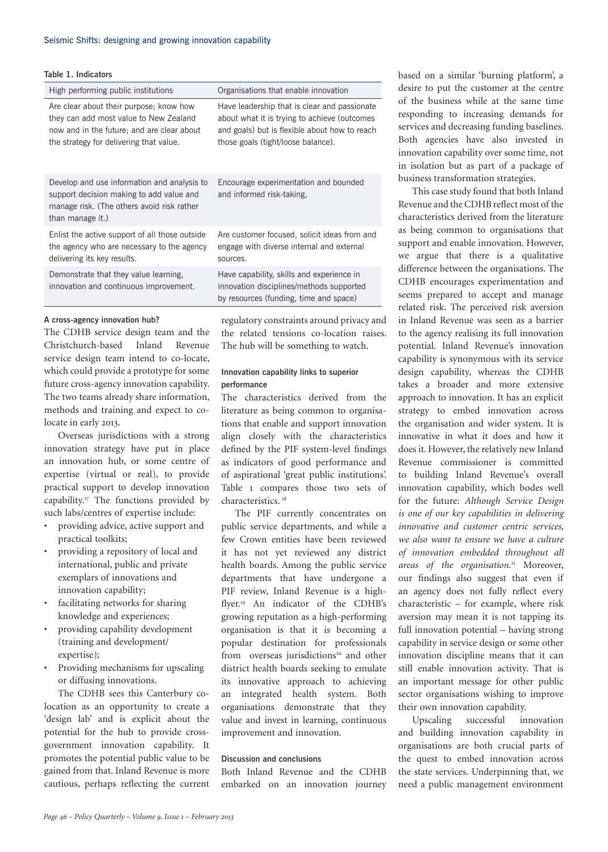| Table 1. Indicators |                                                                                                                                                                            |                                                                                                                                                                  |
|---------------------|----------------------------------------------------------------------------------------------------------------------------------------------------------------------------|------------------------------------------------------------------------------------------------------------------------------------------------------------------|
|                     | High performing public institutions                                                                                                                                        | Organisations that enable innovation                                                                                                                             |
|                     | Are clear about their purpose; know how<br>they can add most value to New Zealand<br>now and in the future; and are clear about<br>the strategy for delivering that value. | Have leadership that is clear and pas<br>about what it is trying to achieve (ou<br>and goals) but is flexible about how to<br>those goals (tight/loose balance). |
|                     | Develop and use information and analysis to<br>support decision making to add value and<br>manage risk. (The others avoid risk rather                                      | Encourage experimentation and bour<br>and informed risk-taking,                                                                                                  |

Enlist the active support of all those outside the agency who are necessary to the agency delivering its key results.

Demonstrate that they value learning, innovation and continuous improvement.

## **A cross-agency innovation hub?**

than manage it.)

The CDHB service design team and the Christchurch-based Inland Revenue service design team intend to co-locate, which could provide a prototype for some future cross-agency innovation capability. The two teams already share information, methods and training and expect to colocate in early 2013.

Overseas jurisdictions with a strong innovation strategy have put in place an innovation hub, or some centre of expertise (virtual or real), to provide practical support to develop innovation capability.17 The functions provided by such labs/centres of expertise include:

- providing advice, active support and practical toolkits;
- providing a repository of local and international, public and private exemplars of innovations and innovation capability;
- facilitating networks for sharing knowledge and experiences;
- providing capability development (training and development/ expertise);
- Providing mechanisms for upscaling or diffusing innovations.

The CDHB sees this Canterbury colocation as an opportunity to create a 'design lab' and is explicit about the potential for the hub to provide crossgovernment innovation capability. It promotes the potential public value to be gained from that. Inland Revenue is more cautious, perhaps reflecting the current eadership that is clear and passionate what it is trying to achieve (outcomes als) but is flexible about how to reach toals (tight/loose balance).

age experimentation and bounded ormed risk-taking.

Are customer focused, solicit ideas from and engage with diverse internal and external sources.

Have capability, skills and experience in innovation disciplines/methods supported by resources (funding, time and space)

regulatory constraints around privacy and the related tensions co-location raises. The hub will be something to watch.

# **Innovation capability links to superior performance**

The characteristics derived from the literature as being common to organisations that enable and support innovation align closely with the characteristics defined by the PIF system-level findings as indicators of good performance and of aspirational 'great public institutions'. Table 1 compares those two sets of characteristics.<sup>18</sup>

The PIF currently concentrates on public service departments, and while a few Crown entities have been reviewed it has not yet reviewed any district health boards. Among the public service departments that have undergone a PIF review, Inland Revenue is a highflyer.19 An indicator of the CDHB's growing reputation as a high-performing organisation is that it is becoming a popular destination for professionals from overseas jurisdictions<sup>20</sup> and other district health boards seeking to emulate its innovative approach to achieving an integrated health system. Both organisations demonstrate that they value and invest in learning, continuous improvement and innovation.

## **Discussion and conclusions**

Both Inland Revenue and the CDHB embarked on an innovation journey

based on a similar 'burning platform', a desire to put the customer at the centre of the business while at the same time responding to increasing demands for services and decreasing funding baselines. Both agencies have also invested in innovation capability over some time, not in isolation but as part of a package of business transformation strategies.

This case study found that both Inland Revenue and the CDHB reflect most of the characteristics derived from the literature as being common to organisations that support and enable innovation. However, we argue that there is a qualitative difference between the organisations. The CDHB encourages experimentation and seems prepared to accept and manage related risk. The perceived risk aversion in Inland Revenue was seen as a barrier to the agency realising its full innovation potential. Inland Revenue's innovation capability is synonymous with its service design capability, whereas the CDHB takes a broader and more extensive approach to innovation. It has an explicit strategy to embed innovation across the organisation and wider system. It is innovative in what it does and how it does it. However, the relatively new Inland Revenue commissioner is committed to building Inland Revenue's overall innovation capability, which bodes well for the future: *Although Service Design is one of our key capabilities in delivering innovative and customer centric services, we also want to ensure we have a culture of innovation embedded throughout all areas of the organisation*. 21 Moreover, our findings also suggest that even if an agency does not fully reflect every characteristic – for example, where risk aversion may mean it is not tapping its full innovation potential – having strong capability in service design or some other innovation discipline means that it can still enable innovation activity. That is an important message for other public sector organisations wishing to improve their own innovation capability.

Upscaling successful innovation and building innovation capability in organisations are both crucial parts of the quest to embed innovation across the state services. Underpinning that, we need a public management environment